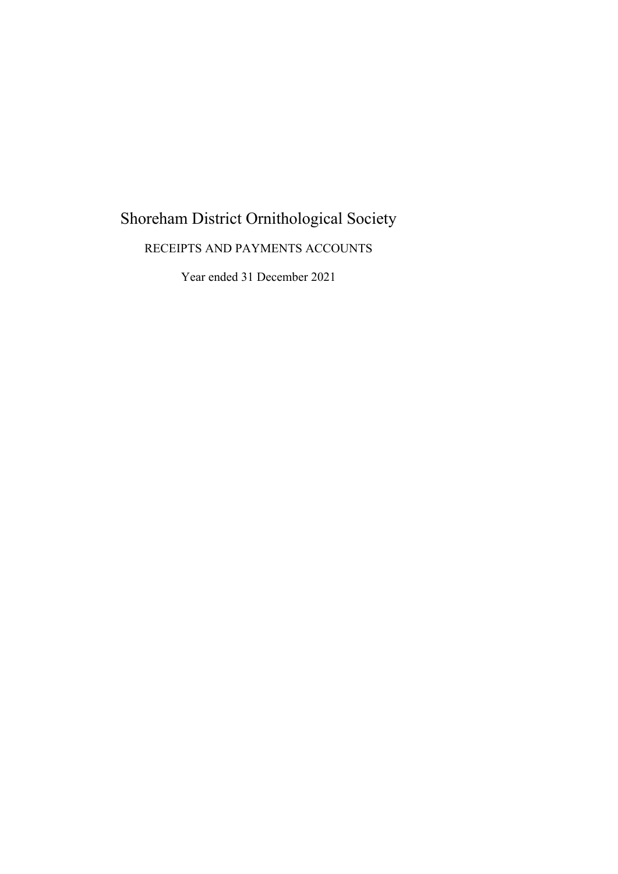# Shoreham District Ornithological Society

# RECEIPTS AND PAYMENTS ACCOUNTS

Year ended 31 December 2021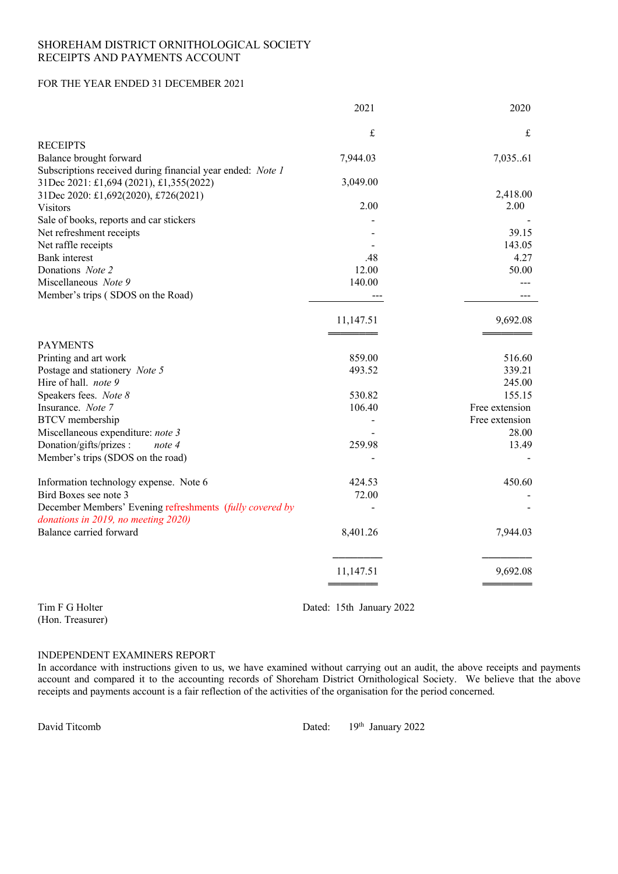# SHOREHAM DISTRICT ORNITHOLOGICAL SOCIETY RECEIPTS AND PAYMENTS ACCOUNT

# FOR THE YEAR ENDED 31 DECEMBER 2021

|                                                                                                       | 2021      | 2020           |
|-------------------------------------------------------------------------------------------------------|-----------|----------------|
|                                                                                                       | £         | £              |
| <b>RECEIPTS</b>                                                                                       |           |                |
| Balance brought forward                                                                               | 7,944.03  | 7,03561        |
| Subscriptions received during financial year ended: Note 1<br>31Dec 2021: £1,694 (2021), £1,355(2022) | 3,049.00  |                |
| 31Dec 2020: £1,692(2020), £726(2021)                                                                  |           | 2,418.00       |
| <b>Visitors</b>                                                                                       | 2.00      | 2.00           |
| Sale of books, reports and car stickers                                                               |           |                |
| Net refreshment receipts                                                                              |           | 39.15          |
| Net raffle receipts                                                                                   |           | 143.05         |
| <b>Bank</b> interest                                                                                  | .48       | 4.27           |
| Donations Note 2                                                                                      | 12.00     | 50.00          |
| Miscellaneous Note 9                                                                                  | 140.00    |                |
| Member's trips (SDOS on the Road)                                                                     |           |                |
|                                                                                                       | 11,147.51 | 9,692.08       |
|                                                                                                       |           |                |
| <b>PAYMENTS</b>                                                                                       |           |                |
| Printing and art work                                                                                 | 859.00    | 516.60         |
| Postage and stationery Note 5                                                                         | 493.52    | 339.21         |
| Hire of hall. note 9                                                                                  |           | 245.00         |
| Speakers fees. Note 8                                                                                 | 530.82    | 155.15         |
| Insurance. Note 7                                                                                     | 106.40    | Free extension |
| <b>BTCV</b> membership                                                                                |           | Free extension |
| Miscellaneous expenditure: note 3                                                                     |           | 28.00          |
| Donation/gifts/prizes :<br>note 4                                                                     | 259.98    | 13.49          |
| Member's trips (SDOS on the road)                                                                     |           |                |
| Information technology expense. Note 6                                                                | 424.53    | 450.60         |
| Bird Boxes see note 3                                                                                 | 72.00     |                |
| December Members' Evening refreshments (fully covered by<br>donations in 2019, no meeting 2020)       |           |                |
| Balance carried forward                                                                               | 8,401.26  | 7,944.03       |
|                                                                                                       |           |                |
|                                                                                                       | 11,147.51 | 9,692.08       |
|                                                                                                       |           |                |

(Hon. Treasurer)

Tim F G Holter Dated: 15th January 2022

# INDEPENDENT EXAMINERS REPORT

In accordance with instructions given to us, we have examined without carrying out an audit, the above receipts and payments account and compared it to the accounting records of Shoreham District Ornithological Society. We believe that the above receipts and payments account is a fair reflection of the activities of the organisation for the period concerned.

David Titcomb Dated: 19th January 2022